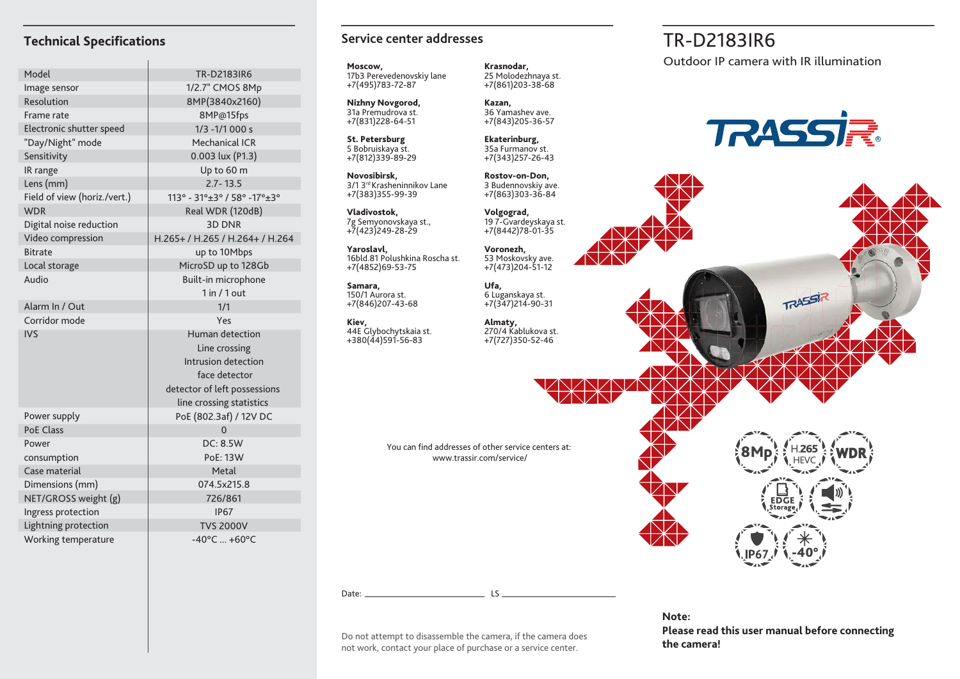| Model                        | <b>TR-D2183IR6</b>                |
|------------------------------|-----------------------------------|
| Image sensor                 | 1/2.7" CMOS 8Mp                   |
| Resolution                   | 8MP(3840x2160)                    |
| Frame rate                   | 8MP@15fps                         |
| Electronic shutter speed     | $1/3 - 1/1000 s$                  |
| "Day/Night" mode             | <b>Mechanical ICR</b>             |
| Sensitivity                  | $0.003$ lux (P1.3)                |
| IR range                     | Up to 60 m                        |
| Lens (mm)                    | $2.7 - 13.5$                      |
| Field of view (horiz./vert.) | 113° - 31°±3° / 58° -17°±3°       |
| <b>WDR</b>                   | Real WDR (120dB)                  |
| Digital noise reduction      | <b>3D DNR</b>                     |
| Video compression            | H.265+ / H.265 / H.264+ / H.264   |
| <b>Bitrate</b>               | up to 10Mbps                      |
| Local storage                | MicroSD up to 128Gb               |
| Audio                        | Built-in microphone               |
|                              | 1 in / 1 out                      |
| Alarm In / Out               | 1/1                               |
| Corridor mode                | Yes                               |
| <b>IVS</b>                   | Human detection                   |
|                              | Line crossing                     |
|                              | Intrusion detection               |
|                              | face detector                     |
|                              | detector of left possessions      |
|                              | line crossing statistics          |
| Power supply                 | PoE (802.3af) / 12V DC            |
| <b>PoE Class</b>             | $\overline{0}$                    |
| Power                        | <b>DC: 8.5W</b>                   |
| consumption                  | <b>PoE: 13W</b>                   |
| Case material                | Metal                             |
| Dimensions (mm)              | 074.5x215.8                       |
| NET/GROSS weight (g)         | 726/861                           |
| Ingress protection           | <b>IP67</b>                       |
| Lightning protection         | <b>TVS 2000V</b>                  |
| Working temperature          | $-40^{\circ}$ C  +60 $^{\circ}$ C |

#### **Technical Specifications** Technical Specifications **TR-D2183IR6 Service center addresses**

**Moscow,** 17b3 Perevedenovskiy lane +7(495)783-72-87

**Nizhny Novgorod,** 31a Premudrova st. +7(831)228-64-51

**St. Petersburg** 5 Bobruiskaya st. +7(812)339-89-29

**Novosibirsk,** 3/1 3rd Krasheninnikov Lane +7(383)355-99-39

**Vladivostok,** 7g Semyonovskaya st., +7(423)249-28-29

**Yaroslavl,** 16bld.81 Polushkina Roscha st. +7(4852)69-53-75

**Samara,** 150/1 Aurora st. +7(846)207-43-68

**Kiev,** 44E Glybochytskaia st. +380(44)591-56-83

**Krasnodar,** 25 Molodezhnaya st. +7(861)203-38-68

**Kazan,** 36 Yamashev ave. +7(843)205-36-57

**Ekaterinburg,** 35a Furmanov st. +7(343)257-26-43

**Rostov-on-Don,** 3 Budennovskiy ave. +7(863)303-36-84

**Volgograd,** 19 7-Gvardeyskaya st. +7(8442)78-01-35

**Voronezh,** 53 Moskovsky ave. +7(473)204-51-12

**Ufa,** 6 Luganskaya st. +7(347)214-90-31

**Almaty,** 270/4 Kablukova st. +7(727)350-52-46

You can find addresses of other service centers at: www.trassir.com/service/

**the camera** does<br>**the camera!** Do not attempt to disassemble the camera, if the camera does<br>**the camera!** not work, contact your place of purchase or a service center.

Date: LS

Outdoor IP camera with IR illumination



TRASSIR



**Note: Please read this user manual before connecting**